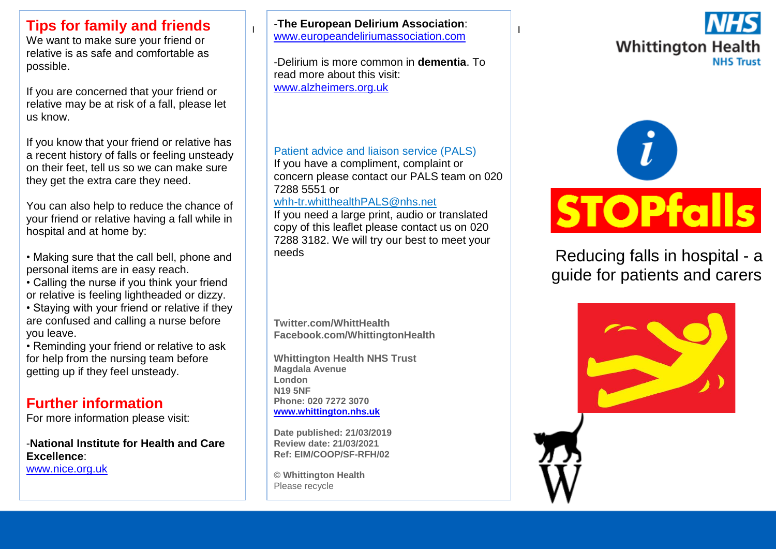### **Tips for family and friends**

We want to make sure your friend or relative is as safe and comfortable as possible.

If you are concerned that your friend or relative may be at risk of a fall, please let us know.

If you know that your friend or relative has a recent history of falls or feeling unsteady on their feet, tell us so we can make sure they get the extra care they need.

You can also help to reduce the chance of your friend or relative having a fall while in hospital and at home by:

- Making sure that the call bell, phone and personal items are in easy reach.
- Calling the nurse if you think your friend or relative is feeling lightheaded or dizzy.
- Staying with your friend or relative if they are confused and calling a nurse before you leave.

• Reminding your friend or relative to ask for help from the nursing team before getting up if they feel unsteady.

## **Further information**

For more information please visit:

-**National Institute for Health and Care Excellence**: [www.nice.org.uk](http://www.nice.org.uk/)

I I [www.europeandeliriumassociation.com](http://www.europeandeliriumassociation.com/) -**The European Delirium Association**:

-Delirium is more common in **dementia**. To read more about this visit: [www.alzheimers.org.uk](http://www.alzheimers.org.uk/)

#### Patient advice and liaison service (PALS)

If you have a compliment, complaint or concern please contact our PALS team on 020 7288 5551 or

#### [whh-tr.whitthealthPALS@nhs.net](mailto:whh-tr.whitthealthPALS@nhs.net)

If you need a large print, audio or translated copy of this leaflet please contact us on 020 7288 3182. We will try our best to meet your needs

**Twitter.com/WhittHealth Facebook.com/WhittingtonHealth**

**Whittington Health NHS Trust Magdala Avenue London N19 5NF Phone: 020 7272 3070 [www.whittington.nhs.uk](http://www.whittington.nhs.uk/)**

**Date published: 21/03/2019 Review date: 21/03/2021 Ref: EIM/COOP/SF-RFH/02**

**© Whittington Health** Please recycle





Reducing falls in hospital - a guide for patients and carers